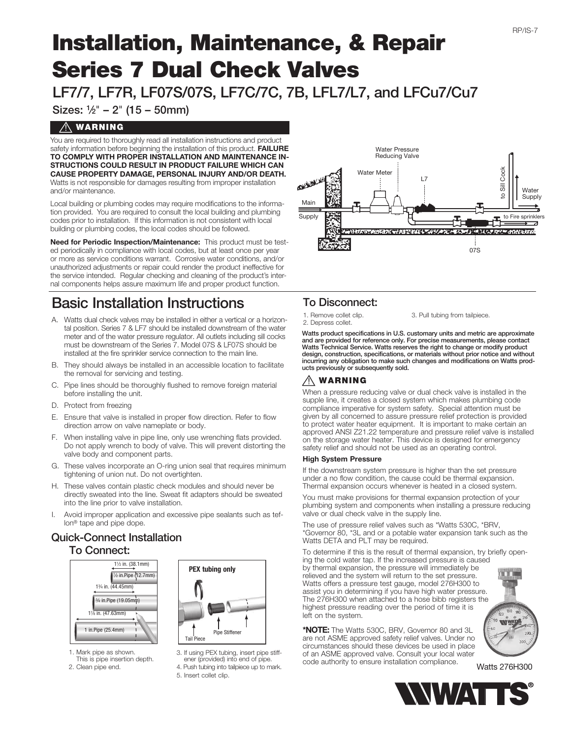# Installation, Maintenance, & Repair Series 7 Dual Check Valves

LF7/7, LF7R, LF07S/07S, LF7C/7C, 7B, LFL7/L7, and LFCu7/Cu7

Sizes: 1⁄2" – 2" (15 – 50mm)

## $\overline{\mathcal{N}}$  WARNING

You are required to thoroughly read all installation instructions and product safety information before beginning the installation of this product. FAILURE TO COMPLY WITH PROPER INSTALLATION AND MAINTENANCE IN-STRUCTIONS COULD RESULT IN PRODUCT FAILURE WHICH CAN CAUSE PROPERTY DAMAGE, PERSONAL INJURY AND/OR DEATH. Watts is not responsible for damages resulting from improper installation and/or maintenance.

Local building or plumbing codes may require modifications to the information provided. You are required to consult the local building and plumbing codes prior to installation. If this information is not consistent with local building or plumbing codes, the local codes should be followed.

Need for Periodic Inspection/Maintenance: This product must be tested periodically in compliance with local codes, but at least once per year or more as service conditions warrant. Corrosive water conditions, and/or unauthorized adjustments or repair could render the product ineffective for the service intended. Regular checking and cleaning of the product's internal components helps assure maximum life and proper product function.

# Basic Installation Instructions

- A. Watts dual check valves may be installed in either a vertical or a horizontal position. Series 7 & LF7 should be installed downstream of the water meter and of the water pressure regulator. All outlets including sill cocks must be downstream of the Series 7. Model 07S & LF07S should be installed at the fire sprinkler service connection to the main line.
- B. They should always be installed in an accessible location to facilitate the removal for servicing and testing.
- C. Pipe lines should be thoroughly flushed to remove foreign material before installing the unit.
- D. Protect from freezing
- E. Ensure that valve is installed in proper flow direction. Refer to flow direction arrow on valve nameplate or body.
- F. When installing valve in pipe line, only use wrenching flats provided. Do not apply wrench to body of valve. This will prevent distorting the valve body and component parts.
- G. These valves incorporate an O-ring union seal that requires minimum tightening of union nut. Do not overtighten.
- H. These valves contain plastic check modules and should never be directly sweated into the line. Sweat fit adapters should be sweated into the line prior to valve installation.
- I. Avoid improper application and excessive pipe sealants such as teflon® tape and pipe dope.

### Quick-Connect Installation To Connect:



- PEX tubing only Pipe Stiffener Tail Piece
- 1. Mark pipe as shown. This is pipe insertion depth.
- 2. Clean pipe end.
- 3. If using PEX tubing, insert pipe stiff- ener (provided) into end of pipe.
- 4. Push tubing into tailpiece up to mark.
- 5. Insert collet clip.



# To Disconnect:

1. Remove collet clip. 2. Depress collet.

3. Pull tubing from tailpiece.

Watts product specifications in U.S. customary units and metric are approximate and are provided for reference only. For precise measurements, please contact Watts Technical Service. Watts reserves the right to change or modify product design, construction, specifications, or materials without prior notice and without incurring any obligation to make such changes and modifications on Watts products previously or subsequently sold.

# $\sqrt{N}$  WARNING

When a pressure reducing valve or dual check valve is installed in the supple line, it creates a closed system which makes plumbing code compliance imperative for system safety. Special attention must be given by all concerned to assure pressure relief protection is provided to protect water heater equipment. It is important to make certain an approved ANSI Z21.22 temperature and pressure relief valve is installed on the storage water heater. This device is designed for emergency safety relief and should not be used as an operating control.

#### High System Pressure

If the downstream system pressure is higher than the set pressure under a no flow condition, the cause could be thermal expansion. Thermal expansion occurs whenever is heated in a closed system.

You must make provisions for thermal expansion protection of your plumbing system and components when installing a pressure reducing valve or dual check valve in the supply line.

The use of pressure relief valves such as \*Watts 530C, \*BRV, \*Governor 80, \*3L and or a potable water expansion tank such as the Watts DETA and PLT may be required.

To determine if this is the result of thermal expansion, try briefly opening the cold water tap. If the increased pressure is caused

by thermal expansion, the pressure will immediately be relieved and the system will return to the set pressure. Watts offers a pressure test gauge, model 276H300 to assist you in determining if you have high water pressure. The 276H300 when attached to a hose bibb registers the highest pressure reading over the period of time it is left on the system.

\*NOTE: The Watts 530C, BRV, Governor 80 and 3L are not ASME approved safety relief valves. Under no circumstances should these devices be used in place of an ASME approved valve. Consult your local water code authority to ensure installation compliance.



Watts 276H300